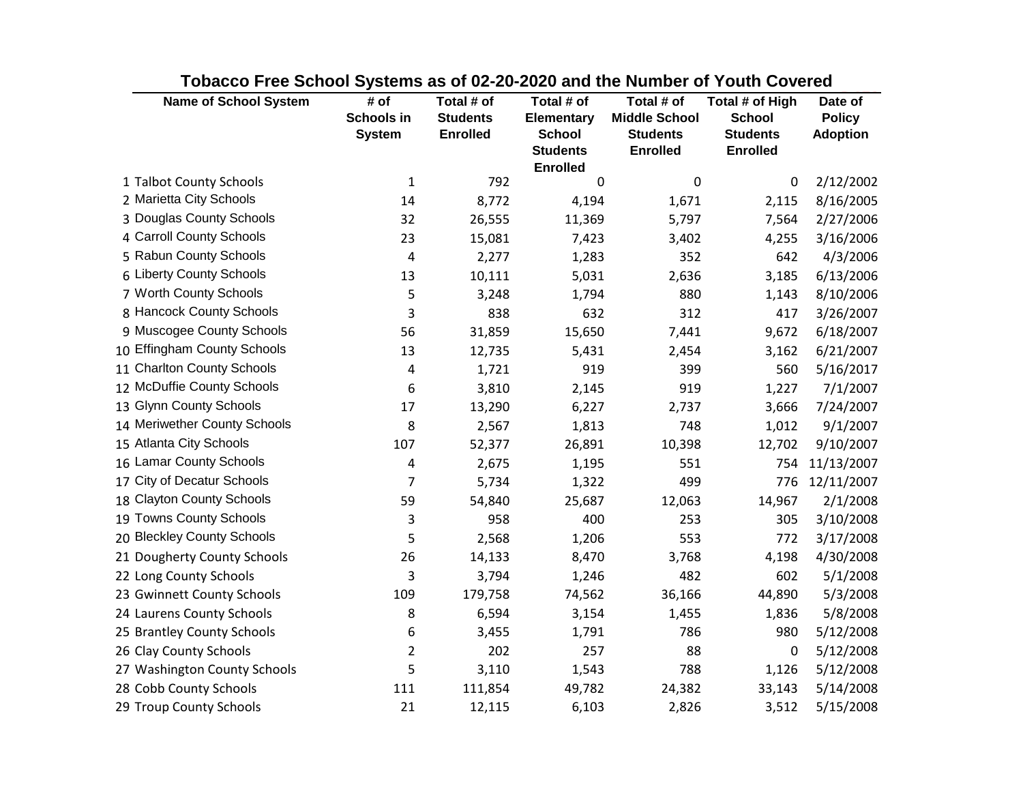| <b>Name of School System</b> | # of<br>Schools in<br><b>System</b> | Total # of<br><b>Students</b><br><b>Enrolled</b> | Total # of<br><b>Elementary</b><br><b>School</b> | Total # of<br><b>Middle School</b><br><b>Students</b> | Total # of High<br><b>School</b><br><b>Students</b> | Date of<br><b>Policy</b><br><b>Adoption</b> |
|------------------------------|-------------------------------------|--------------------------------------------------|--------------------------------------------------|-------------------------------------------------------|-----------------------------------------------------|---------------------------------------------|
|                              |                                     |                                                  | <b>Students</b><br><b>Enrolled</b>               | <b>Enrolled</b>                                       | <b>Enrolled</b>                                     |                                             |
| 1 Talbot County Schools      | $\mathbf{1}$                        | 792                                              | 0                                                | 0                                                     | 0                                                   | 2/12/2002                                   |
| 2 Marietta City Schools      | 14                                  | 8,772                                            | 4,194                                            | 1,671                                                 | 2,115                                               | 8/16/2005                                   |
| 3 Douglas County Schools     | 32                                  | 26,555                                           | 11,369                                           | 5,797                                                 | 7,564                                               | 2/27/2006                                   |
| 4 Carroll County Schools     | 23                                  | 15,081                                           | 7,423                                            | 3,402                                                 | 4,255                                               | 3/16/2006                                   |
| 5 Rabun County Schools       | 4                                   | 2,277                                            | 1,283                                            | 352                                                   | 642                                                 | 4/3/2006                                    |
| 6 Liberty County Schools     | 13                                  | 10,111                                           | 5,031                                            | 2,636                                                 | 3,185                                               | 6/13/2006                                   |
| 7 Worth County Schools       | 5                                   | 3,248                                            | 1,794                                            | 880                                                   | 1,143                                               | 8/10/2006                                   |
| 8 Hancock County Schools     | 3                                   | 838                                              | 632                                              | 312                                                   | 417                                                 | 3/26/2007                                   |
| 9 Muscogee County Schools    | 56                                  | 31,859                                           | 15,650                                           | 7,441                                                 | 9,672                                               | 6/18/2007                                   |
| 10 Effingham County Schools  | 13                                  | 12,735                                           | 5,431                                            | 2,454                                                 | 3,162                                               | 6/21/2007                                   |
| 11 Charlton County Schools   | 4                                   | 1,721                                            | 919                                              | 399                                                   | 560                                                 | 5/16/2017                                   |
| 12 McDuffie County Schools   | 6                                   | 3,810                                            | 2,145                                            | 919                                                   | 1,227                                               | 7/1/2007                                    |
| 13 Glynn County Schools      | 17                                  | 13,290                                           | 6,227                                            | 2,737                                                 | 3,666                                               | 7/24/2007                                   |
| 14 Meriwether County Schools | 8                                   | 2,567                                            | 1,813                                            | 748                                                   | 1,012                                               | 9/1/2007                                    |
| 15 Atlanta City Schools      | 107                                 | 52,377                                           | 26,891                                           | 10,398                                                | 12,702                                              | 9/10/2007                                   |
| 16 Lamar County Schools      | 4                                   | 2,675                                            | 1,195                                            | 551                                                   | 754                                                 | 11/13/2007                                  |
| 17 City of Decatur Schools   | 7                                   | 5,734                                            | 1,322                                            | 499                                                   | 776                                                 | 12/11/2007                                  |
| 18 Clayton County Schools    | 59                                  | 54,840                                           | 25,687                                           | 12,063                                                | 14,967                                              | 2/1/2008                                    |
| 19 Towns County Schools      | 3                                   | 958                                              | 400                                              | 253                                                   | 305                                                 | 3/10/2008                                   |
| 20 Bleckley County Schools   | 5                                   | 2,568                                            | 1,206                                            | 553                                                   | 772                                                 | 3/17/2008                                   |
| 21 Dougherty County Schools  | 26                                  | 14,133                                           | 8,470                                            | 3,768                                                 | 4,198                                               | 4/30/2008                                   |
| 22 Long County Schools       | 3                                   | 3,794                                            | 1,246                                            | 482                                                   | 602                                                 | 5/1/2008                                    |
| 23 Gwinnett County Schools   | 109                                 | 179,758                                          | 74,562                                           | 36,166                                                | 44,890                                              | 5/3/2008                                    |
| 24 Laurens County Schools    | 8                                   | 6,594                                            | 3,154                                            | 1,455                                                 | 1,836                                               | 5/8/2008                                    |
| 25 Brantley County Schools   | 6                                   | 3,455                                            | 1,791                                            | 786                                                   | 980                                                 | 5/12/2008                                   |
| 26 Clay County Schools       | 2                                   | 202                                              | 257                                              | 88                                                    | 0                                                   | 5/12/2008                                   |
| 27 Washington County Schools | 5                                   | 3,110                                            | 1,543                                            | 788                                                   | 1,126                                               | 5/12/2008                                   |
| 28 Cobb County Schools       | 111                                 | 111,854                                          | 49,782                                           | 24,382                                                | 33,143                                              | 5/14/2008                                   |
| 29 Troup County Schools      | 21                                  | 12,115                                           | 6,103                                            | 2,826                                                 | 3,512                                               | 5/15/2008                                   |

## **Tobacco Free School Systems as of 02-20-2020 and the Number of Youth Covered**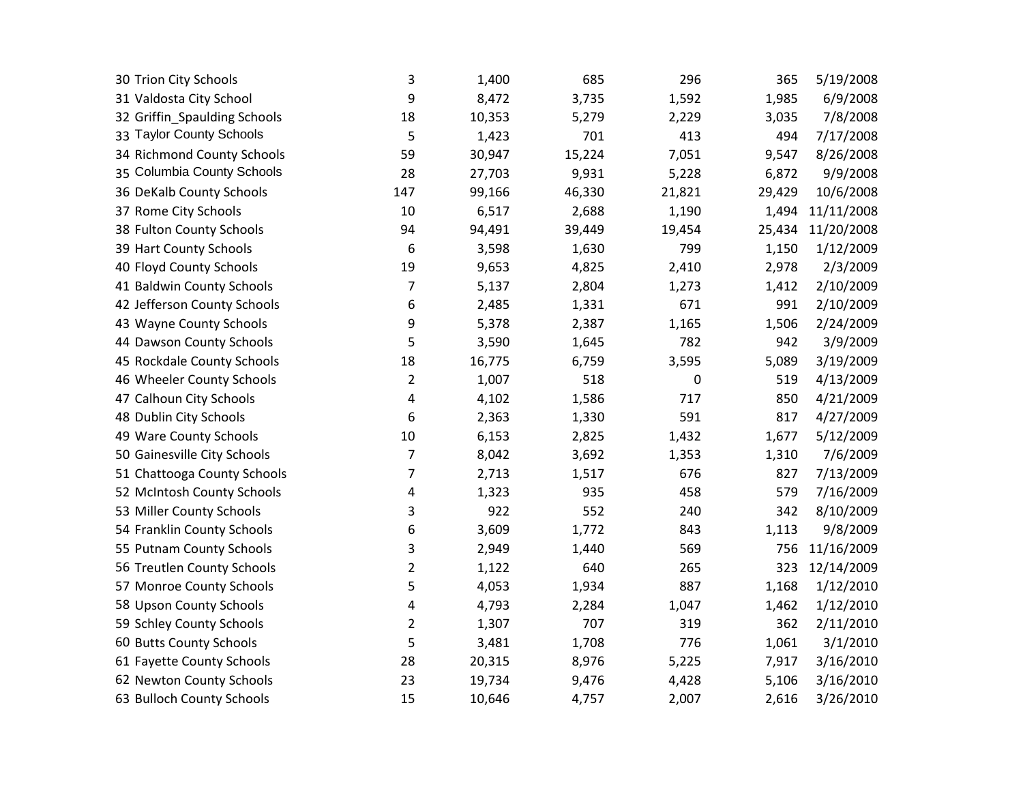| 30 Trion City Schools        | 3              | 1,400  | 685    | 296    | 365    | 5/19/2008  |
|------------------------------|----------------|--------|--------|--------|--------|------------|
| 31 Valdosta City School      | 9              | 8,472  | 3,735  | 1,592  | 1,985  | 6/9/2008   |
| 32 Griffin_Spaulding Schools | 18             | 10,353 | 5,279  | 2,229  | 3,035  | 7/8/2008   |
| 33 Taylor County Schools     | 5              | 1,423  | 701    | 413    | 494    | 7/17/2008  |
| 34 Richmond County Schools   | 59             | 30,947 | 15,224 | 7,051  | 9,547  | 8/26/2008  |
| 35 Columbia County Schools   | 28             | 27,703 | 9,931  | 5,228  | 6,872  | 9/9/2008   |
| 36 DeKalb County Schools     | 147            | 99,166 | 46,330 | 21,821 | 29,429 | 10/6/2008  |
| 37 Rome City Schools         | 10             | 6,517  | 2,688  | 1,190  | 1,494  | 11/11/2008 |
| 38 Fulton County Schools     | 94             | 94,491 | 39,449 | 19,454 | 25,434 | 11/20/2008 |
| 39 Hart County Schools       | 6              | 3,598  | 1,630  | 799    | 1,150  | 1/12/2009  |
| 40 Floyd County Schools      | 19             | 9,653  | 4,825  | 2,410  | 2,978  | 2/3/2009   |
| 41 Baldwin County Schools    | $\overline{7}$ | 5,137  | 2,804  | 1,273  | 1,412  | 2/10/2009  |
| 42 Jefferson County Schools  | 6              | 2,485  | 1,331  | 671    | 991    | 2/10/2009  |
| 43 Wayne County Schools      | 9              | 5,378  | 2,387  | 1,165  | 1,506  | 2/24/2009  |
| 44 Dawson County Schools     | 5              | 3,590  | 1,645  | 782    | 942    | 3/9/2009   |
| 45 Rockdale County Schools   | 18             | 16,775 | 6,759  | 3,595  | 5,089  | 3/19/2009  |
| 46 Wheeler County Schools    | $\overline{2}$ | 1,007  | 518    | 0      | 519    | 4/13/2009  |
| 47 Calhoun City Schools      | 4              | 4,102  | 1,586  | 717    | 850    | 4/21/2009  |
| 48 Dublin City Schools       | 6              | 2,363  | 1,330  | 591    | 817    | 4/27/2009  |
| 49 Ware County Schools       | 10             | 6,153  | 2,825  | 1,432  | 1,677  | 5/12/2009  |
| 50 Gainesville City Schools  | $\overline{7}$ | 8,042  | 3,692  | 1,353  | 1,310  | 7/6/2009   |
| 51 Chattooga County Schools  | 7              | 2,713  | 1,517  | 676    | 827    | 7/13/2009  |
| 52 McIntosh County Schools   | 4              | 1,323  | 935    | 458    | 579    | 7/16/2009  |
| 53 Miller County Schools     | 3              | 922    | 552    | 240    | 342    | 8/10/2009  |
| 54 Franklin County Schools   | 6              | 3,609  | 1,772  | 843    | 1,113  | 9/8/2009   |
| 55 Putnam County Schools     | 3              | 2,949  | 1,440  | 569    | 756    | 11/16/2009 |
| 56 Treutlen County Schools   | $\overline{2}$ | 1,122  | 640    | 265    | 323    | 12/14/2009 |
| 57 Monroe County Schools     | 5              | 4,053  | 1,934  | 887    | 1,168  | 1/12/2010  |
| 58 Upson County Schools      | 4              | 4,793  | 2,284  | 1,047  | 1,462  | 1/12/2010  |
| 59 Schley County Schools     | $\overline{2}$ | 1,307  | 707    | 319    | 362    | 2/11/2010  |
| 60 Butts County Schools      | 5              | 3,481  | 1,708  | 776    | 1,061  | 3/1/2010   |
| 61 Fayette County Schools    | 28             | 20,315 | 8,976  | 5,225  | 7,917  | 3/16/2010  |
| 62 Newton County Schools     | 23             | 19,734 | 9,476  | 4,428  | 5,106  | 3/16/2010  |
| 63 Bulloch County Schools    | 15             | 10,646 | 4,757  | 2,007  | 2,616  | 3/26/2010  |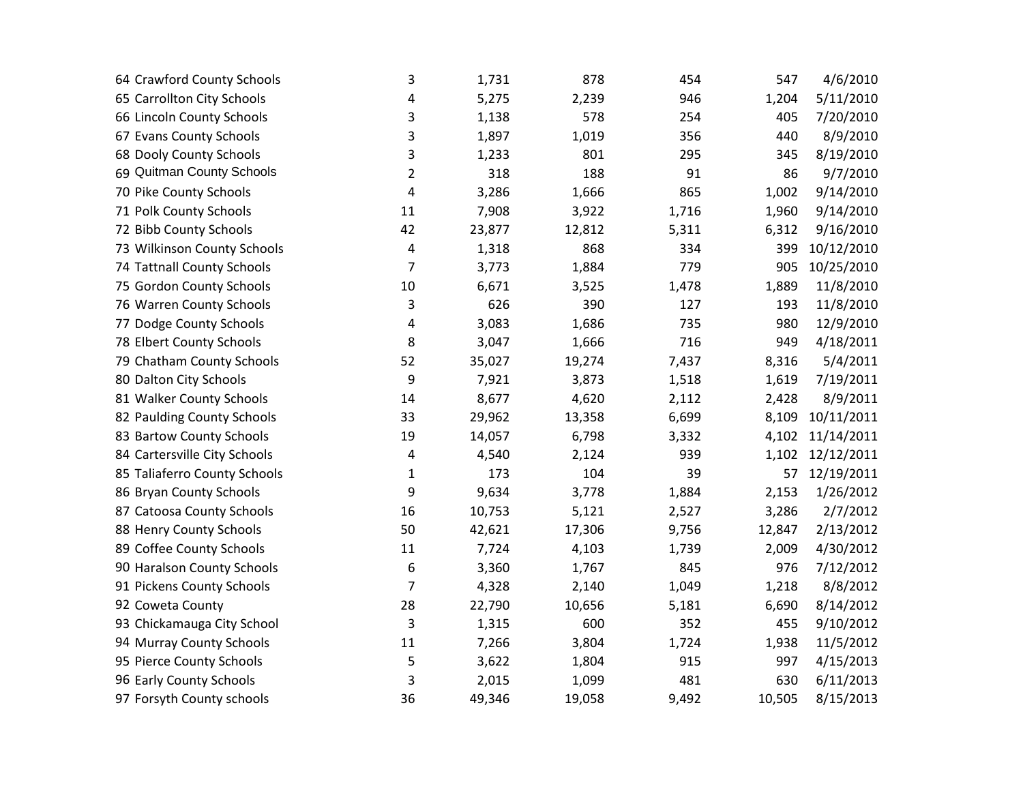| 64 Crawford County Schools   | 3              | 1,731  | 878    | 454   | 547    | 4/6/2010   |
|------------------------------|----------------|--------|--------|-------|--------|------------|
| 65 Carrollton City Schools   | 4              | 5,275  | 2,239  | 946   | 1,204  | 5/11/2010  |
| 66 Lincoln County Schools    | 3              | 1,138  | 578    | 254   | 405    | 7/20/2010  |
| 67 Evans County Schools      | 3              | 1,897  | 1,019  | 356   | 440    | 8/9/2010   |
| 68 Dooly County Schools      | 3              | 1,233  | 801    | 295   | 345    | 8/19/2010  |
| 69 Quitman County Schools    | $\overline{2}$ | 318    | 188    | 91    | 86     | 9/7/2010   |
| 70 Pike County Schools       | 4              | 3,286  | 1,666  | 865   | 1,002  | 9/14/2010  |
| 71 Polk County Schools       | 11             | 7,908  | 3,922  | 1,716 | 1,960  | 9/14/2010  |
| 72 Bibb County Schools       | 42             | 23,877 | 12,812 | 5,311 | 6,312  | 9/16/2010  |
| 73 Wilkinson County Schools  | 4              | 1,318  | 868    | 334   | 399    | 10/12/2010 |
| 74 Tattnall County Schools   | $\overline{7}$ | 3,773  | 1,884  | 779   | 905    | 10/25/2010 |
| 75 Gordon County Schools     | $10\,$         | 6,671  | 3,525  | 1,478 | 1,889  | 11/8/2010  |
| 76 Warren County Schools     | 3              | 626    | 390    | 127   | 193    | 11/8/2010  |
| 77 Dodge County Schools      | 4              | 3,083  | 1,686  | 735   | 980    | 12/9/2010  |
| 78 Elbert County Schools     | 8              | 3,047  | 1,666  | 716   | 949    | 4/18/2011  |
| 79 Chatham County Schools    | 52             | 35,027 | 19,274 | 7,437 | 8,316  | 5/4/2011   |
| 80 Dalton City Schools       | 9              | 7,921  | 3,873  | 1,518 | 1,619  | 7/19/2011  |
| 81 Walker County Schools     | 14             | 8,677  | 4,620  | 2,112 | 2,428  | 8/9/2011   |
| 82 Paulding County Schools   | 33             | 29,962 | 13,358 | 6,699 | 8,109  | 10/11/2011 |
| 83 Bartow County Schools     | 19             | 14,057 | 6,798  | 3,332 | 4,102  | 11/14/2011 |
| 84 Cartersville City Schools | 4              | 4,540  | 2,124  | 939   | 1,102  | 12/12/2011 |
| 85 Taliaferro County Schools | $\mathbf{1}$   | 173    | 104    | 39    | 57     | 12/19/2011 |
| 86 Bryan County Schools      | 9              | 9,634  | 3,778  | 1,884 | 2,153  | 1/26/2012  |
| 87 Catoosa County Schools    | 16             | 10,753 | 5,121  | 2,527 | 3,286  | 2/7/2012   |
| 88 Henry County Schools      | 50             | 42,621 | 17,306 | 9,756 | 12,847 | 2/13/2012  |
| 89 Coffee County Schools     | 11             | 7,724  | 4,103  | 1,739 | 2,009  | 4/30/2012  |
| 90 Haralson County Schools   | 6              | 3,360  | 1,767  | 845   | 976    | 7/12/2012  |
| 91 Pickens County Schools    | 7              | 4,328  | 2,140  | 1,049 | 1,218  | 8/8/2012   |
| 92 Coweta County             | 28             | 22,790 | 10,656 | 5,181 | 6,690  | 8/14/2012  |
| 93 Chickamauga City School   | 3              | 1,315  | 600    | 352   | 455    | 9/10/2012  |
| 94 Murray County Schools     | 11             | 7,266  | 3,804  | 1,724 | 1,938  | 11/5/2012  |
| 95 Pierce County Schools     | 5              | 3,622  | 1,804  | 915   | 997    | 4/15/2013  |
| 96 Early County Schools      | 3              | 2,015  | 1,099  | 481   | 630    | 6/11/2013  |
| 97 Forsyth County schools    | 36             | 49,346 | 19,058 | 9,492 | 10,505 | 8/15/2013  |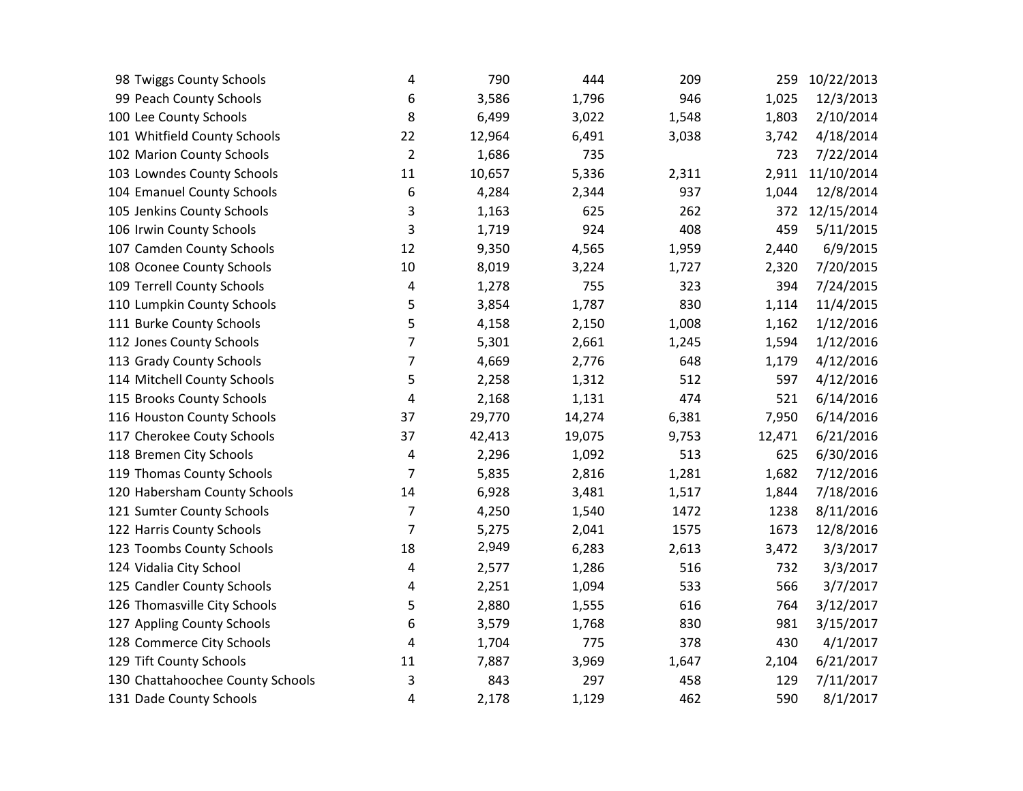| 98 Twiggs County Schools         | 4              | 790    | 444    | 209   | 259    | 10/22/2013 |
|----------------------------------|----------------|--------|--------|-------|--------|------------|
| 99 Peach County Schools          | 6              | 3,586  | 1,796  | 946   | 1,025  | 12/3/2013  |
| 100 Lee County Schools           | 8              | 6,499  | 3,022  | 1,548 | 1,803  | 2/10/2014  |
| 101 Whitfield County Schools     | 22             | 12,964 | 6,491  | 3,038 | 3,742  | 4/18/2014  |
| 102 Marion County Schools        | $\overline{2}$ | 1,686  | 735    |       | 723    | 7/22/2014  |
| 103 Lowndes County Schools       | 11             | 10,657 | 5,336  | 2,311 | 2,911  | 11/10/2014 |
| 104 Emanuel County Schools       | 6              | 4,284  | 2,344  | 937   | 1,044  | 12/8/2014  |
| 105 Jenkins County Schools       | 3              | 1,163  | 625    | 262   | 372    | 12/15/2014 |
| 106 Irwin County Schools         | 3              | 1,719  | 924    | 408   | 459    | 5/11/2015  |
| 107 Camden County Schools        | 12             | 9,350  | 4,565  | 1,959 | 2,440  | 6/9/2015   |
| 108 Oconee County Schools        | 10             | 8,019  | 3,224  | 1,727 | 2,320  | 7/20/2015  |
| 109 Terrell County Schools       | 4              | 1,278  | 755    | 323   | 394    | 7/24/2015  |
| 110 Lumpkin County Schools       | 5              | 3,854  | 1,787  | 830   | 1,114  | 11/4/2015  |
| 111 Burke County Schools         | 5              | 4,158  | 2,150  | 1,008 | 1,162  | 1/12/2016  |
| 112 Jones County Schools         | $\overline{7}$ | 5,301  | 2,661  | 1,245 | 1,594  | 1/12/2016  |
| 113 Grady County Schools         | $\overline{7}$ | 4,669  | 2,776  | 648   | 1,179  | 4/12/2016  |
| 114 Mitchell County Schools      | 5              | 2,258  | 1,312  | 512   | 597    | 4/12/2016  |
| 115 Brooks County Schools        | 4              | 2,168  | 1,131  | 474   | 521    | 6/14/2016  |
| 116 Houston County Schools       | 37             | 29,770 | 14,274 | 6,381 | 7,950  | 6/14/2016  |
| 117 Cherokee Couty Schools       | 37             | 42,413 | 19,075 | 9,753 | 12,471 | 6/21/2016  |
| 118 Bremen City Schools          | 4              | 2,296  | 1,092  | 513   | 625    | 6/30/2016  |
| 119 Thomas County Schools        | $\overline{7}$ | 5,835  | 2,816  | 1,281 | 1,682  | 7/12/2016  |
| 120 Habersham County Schools     | 14             | 6,928  | 3,481  | 1,517 | 1,844  | 7/18/2016  |
| 121 Sumter County Schools        | $\overline{7}$ | 4,250  | 1,540  | 1472  | 1238   | 8/11/2016  |
| 122 Harris County Schools        | $\overline{7}$ | 5,275  | 2,041  | 1575  | 1673   | 12/8/2016  |
| 123 Toombs County Schools        | 18             | 2,949  | 6,283  | 2,613 | 3,472  | 3/3/2017   |
| 124 Vidalia City School          | 4              | 2,577  | 1,286  | 516   | 732    | 3/3/2017   |
| 125 Candler County Schools       | 4              | 2,251  | 1,094  | 533   | 566    | 3/7/2017   |
| 126 Thomasville City Schools     | 5              | 2,880  | 1,555  | 616   | 764    | 3/12/2017  |
| 127 Appling County Schools       | 6              | 3,579  | 1,768  | 830   | 981    | 3/15/2017  |
| 128 Commerce City Schools        | 4              | 1,704  | 775    | 378   | 430    | 4/1/2017   |
| 129 Tift County Schools          | 11             | 7,887  | 3,969  | 1,647 | 2,104  | 6/21/2017  |
| 130 Chattahoochee County Schools | 3              | 843    | 297    | 458   | 129    | 7/11/2017  |
| 131 Dade County Schools          | 4              | 2,178  | 1,129  | 462   | 590    | 8/1/2017   |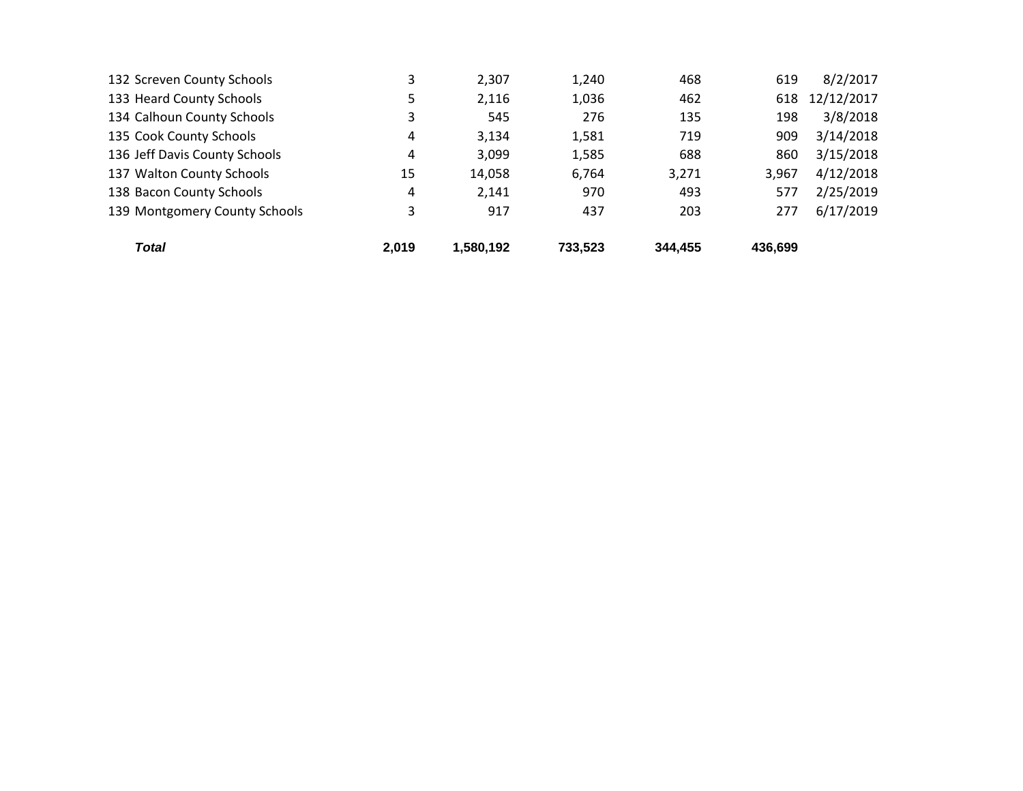|    |        | 437                                       | 203   | 277   | 6/17/2019  |
|----|--------|-------------------------------------------|-------|-------|------------|
| 4  | 2,141  | 970                                       | 493   | 577   | 2/25/2019  |
| 15 | 14,058 | 6,764                                     | 3,271 | 3,967 | 4/12/2018  |
| 4  | 3,099  | 1,585                                     | 688   | 860   | 3/15/2018  |
| 4  | 3,134  | 1,581                                     | 719   | 909   | 3/14/2018  |
| 3  | 545    | 276                                       | 135   | 198   | 3/8/2018   |
| 5  | 2,116  | 1,036                                     | 462   | 618   | 12/12/2017 |
| 3  | 2,307  | 1,240                                     | 468   | 619   | 8/2/2017   |
|    |        | 139 Montgomery County Schools<br>3<br>917 |       |       |            |